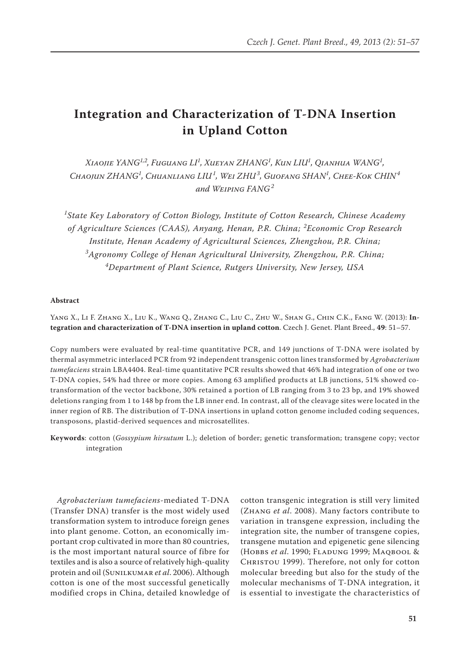# **Integration and Characterization of T-DNA Insertion in Upland Cotton**

*Xiaojie YANG1,2, Fuguang LI1 , Xueyan ZHANG<sup>1</sup> , Kun LIU<sup>1</sup> , Qianhua WANG<sup>1</sup> ,*  $C$ НАОЈИN ZHANG<sup>1</sup>, Сниамгіанg LIU<sup>1</sup>, Wei ZHU<sup>3</sup>, Guofang SHAN<sup>1</sup>, Снее-Кок СНІN<sup>4</sup> *and Weiping FANG<sup>2</sup>*

*1 State Key Laboratory of Cotton Biology, Institute of Cotton Research, Chinese Academy of Agriculture Sciences (CAAS), Anyang, Henan, P.R. China; <sup>2</sup> Economic Crop Research Institute, Henan Academy of Agricultural Sciences, Zhengzhou, P.R. China; 3 Agronomy College of Henan Agricultural University, Zhengzhou, P.R. China; 4 Department of Plant Science, Rutgers University, New Jersey, USA* 

#### **Abstract**

Yang X., Li F. Zhang X., Liu K., Wang Q., Zhang C., Liu C., Zhu W., Shan G., Chin C.K., Fang W. (2013): **Integration and characterization of T-DNA insertion in upland cotton**. Czech J. Genet. Plant Breed., **49**: 51–57.

Copy numbers were evaluated by real-time quantitative PCR, and 149 junctions of T-DNA were isolated by thermal asymmetric interlaced PCR from 92 independent transgenic cotton lines transformed by *Agrobacterium tumefaciens* strain LBA4404. Real-time quantitative PCR results showed that 46% had integration of one or two T-DNA copies, 54% had three or more copies. Among 63 amplified products at LB junctions, 51% showed cotransformation of the vector backbone, 30% retained a portion of LB ranging from 3 to 23 bp, and 19% showed deletions ranging from 1 to 148 bp from the LB inner end. In contrast, all of the cleavage sites were located in the inner region of RB. The distribution of T-DNA insertions in upland cotton genome included coding sequences, transposons, plastid-derived sequences and microsatellites.

**Keywords**: cotton (*Gossypium hirsutum* L.); deletion of border; genetic transformation; transgene copy; vector integration

*Agrobacterium tumefaciens*-mediated T-DNA (Transfer DNA) transfer is the most widely used transformation system to introduce foreign genes into plant genome. Cotton, an economically important crop cultivated in more than 80 countries, is the most important natural source of fibre for textiles and is also a source of relatively high-quality protein and oil (Sunilkumar *et al*. 2006). Although cotton is one of the most successful genetically modified crops in China, detailed knowledge of

cotton transgenic integration is still very limited (Zhang *et al*. 2008). Many factors contribute to variation in transgene expression, including the integration site, the number of transgene copies, transgene mutation and epigenetic gene silencing (Hobbs *et al*. 1990; Fladung 1999; Maqbool & Christou 1999). Therefore, not only for cotton molecular breeding but also for the study of the molecular mechanisms of T-DNA integration, it is essential to investigate the characteristics of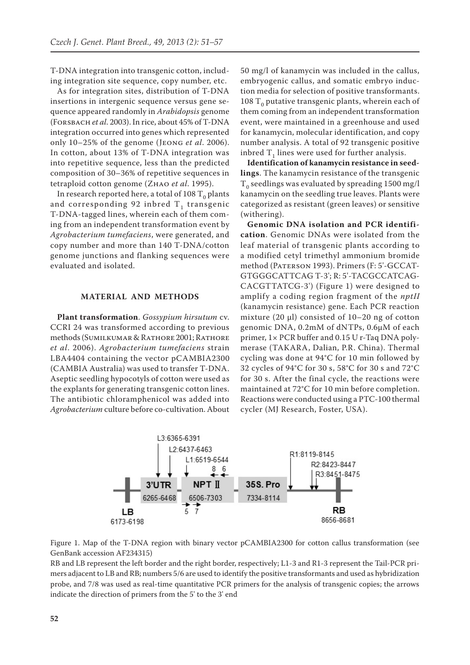T-DNA integration into transgenic cotton, including integration site sequence, copy number, etc.

As for integration sites, distribution of T-DNA insertions in intergenic sequence versus gene sequence appeared randomly in *Arabidopsis* genome (Forsbach *et al*. 2003). In rice, about 45% of T-DNA integration occurred into genes which represented only 10–25% of the genome (Jeong *et al*. 2006). In cotton, about 13% of T-DNA integration was into repetitive sequence, less than the predicted composition of 30–36% of repetitive sequences in tetraploid cotton genome (Zhao *et al*. 1995).

In research reported here, a total of 108  $T_0$  plants and corresponding 92 inbred  $T_1$  transgenic T-DNA-tagged lines, wherein each of them coming from an independent transformation event by *Agrobacterium tumefaciens*, were generated, and copy number and more than 140 T-DNA/cotton genome junctions and flanking sequences were evaluated and isolated.

## **MATERIAL AND METHODS**

**Plant transformation**. *Gossypium hirsutum* cv. CCRI 24 was transformed according to previous methods (Sumilkumar & Rathore 2001; Rathore *et al*. 2006). *Agrobacterium tumefaciens* strain LBA4404 containing the vector pCAMBIA2300 (CAMBIA Australia) was used to transfer T-DNA. Aseptic seedling hypocotyls of cotton were used as the explants for generating transgenic cotton lines. The antibiotic chloramphenicol was added into *Agrobacterium* culture before co-cultivation. About

50 mg/l of kanamycin was included in the callus, embryogenic callus, and somatic embryo induction media for selection of positive transformants. 108  $T_0$  putative transgenic plants, wherein each of them coming from an independent transformation event, were maintained in a greenhouse and used for kanamycin, molecular identification, and copy number analysis. A total of 92 transgenic positive inbred  $T<sub>1</sub>$  lines were used for further analysis.

**Identification of kanamycin resistance in seedlings**. The kanamycin resistance of the transgenic  $T_0$  seedlings was evaluated by spreading 1500 mg/l kanamycin on the seedling true leaves. Plants were categorized as resistant (green leaves) or sensitive (withering).

**Genomic DNA isolation and PCR identification**. Genomic DNAs were isolated from the leaf material of transgenic plants according to a modified cetyl trimethyl ammonium bromide method (Paterson 1993). Primers (F: 5'-GCCAT-GTGGGCATTCAG T-3'; R: 5'-TACGCCATCAG-CACGTTATCG-3') (Figure 1) were designed to amplify a coding region fragment of the *nptII* (kanamycin resistance) gene. Each PCR reaction mixture (20 μl) consisted of 10–20 ng of cotton genomic DNA, 0.2mM of dNTPs, 0.6μM of each primer, 1× PCR buffer and 0.15 U r-Taq DNA polymerase (TAKARA, Dalian, P.R. China). Thermal cycling was done at 94°C for 10 min followed by 32 cycles of 94°C for 30 s, 58°C for 30 s and 72°C for 30 s. After the final cycle, the reactions were maintained at 72°C for 10 min before completion. Reactions were conducted using a PTC-100 thermal cycler (MJ Research, Foster, USA).



Figure 1. Map of the T-DNA region with binary vector pCAMBIA2300 for cotton callus transformation (see GenBank accession AF234315)

RB and LB represent the left border and the right border, respectively; L1-3 and R1-3 represent the Tail-PCR primers adjacent to LB and RB; numbers 5/6 are used to identify the positive transformants and used as hybridization probe, and 7/8 was used as real-time quantitative PCR primers for the analysis of transgenic copies; the arrows indicate the direction of primers from the 5' to the 3' end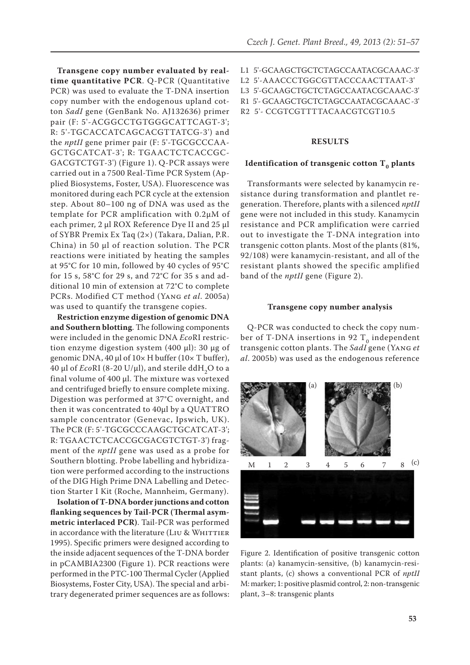**Transgene copy number evaluated by realtime quantitative PCR**. Q-PCR (Quantitative PCR) was used to evaluate the T-DNA insertion copy number with the endogenous upland cotton *SadI* gene (GenBank No. AJ132636) primer pair (F: 5'-ACGGCCTGTGGGCATTCAGT-3'; R: 5'-TGCACCATCAGCACGTTATCG-3') and the *nptII* gene primer pair (F: 5'-TGCGCCCAA-GCTGCATCAT-3'; R: TGAACTCTCACCGC-GACGTCTGT-3') (Figure 1). Q-PCR assays were carried out in a 7500 Real-Time PCR System (Applied Biosystems, Foster, USA). Fluorescence was monitored during each PCR cycle at the extension step. About 80–100 ng of DNA was used as the template for PCR amplification with 0.2μM of each primer, 2 μl ROX Reference Dye II and 25 μl of SYBR Premix Ex Taq (2×) (Takara, Dalian, P.R. China) in 50 μl of reaction solution. The PCR reactions were initiated by heating the samples at 95°C for 10 min, followed by 40 cycles of 95°C for 15 s, 58°C for 29 s, and 72°C for 35 s and additional 10 min of extension at 72°C to complete PCRs. Modified CT method (Yang *et al*. 2005a) was used to quantify the transgene copies.

**Restriction enzyme digestion of genomic DNA and Southern blotting**. The following components were included in the genomic DNA *Eco*RI restriction enzyme digestion system (400 μl): 30 μg of genomic DNA, 40 μl of 10× H buffer (10× T buffer), 40 μl of *Eco*RI (8-20 U/μl), and sterile ddH2O to a final volume of 400 μl. The mixture was vortexed and centrifuged briefly to ensure complete mixing. Digestion was performed at 37°C overnight, and then it was concentrated to 40μl by a QUATTRO sample concentrator (Genevac, Ipswich, UK). The PCR (F: 5'-TGCGCCCAAGCTGCATCAT-3'; R: TGAACTCTCACCGCGACGTCTGT-3') fragment of the *nptII* gene was used as a probe for Southern blotting. Probe labelling and hybridization were performed according to the instructions of the DIG High Prime DNA Labelling and Detection Starter I Kit (Roche, Mannheim, Germany).

**Isolation of T-DNA border junctions and cotton flanking sequences by Tail-PCR (Thermal asymmetric interlaced PCR)**. Tail-PCR was performed in accordance with the literature (LIU & WHITTIER 1995). Specific primers were designed according to the inside adjacent sequences of the T-DNA border in pCAMBIA2300 (Figure 1). PCR reactions were performed in the PTC-100 Thermal Cycler (Applied Biosystems, Foster City, USA). The special and arbitrary degenerated primer sequences are as follows:

L1 5'-GCAAGCTGCTCTAGCCAATACGCAAAC-3' L2 5'-AAACCCTGGCGTTACCCAACTTAAT-3' L3 5'-GCAAGCTGCTCTAGCCAATACGCAAAC-3' R1 5'- GCAAGCTGCTCTAGCCAATACGCAAAC -3' R2 5'- CCGTCGTTTTACAACGTCGT10.5

## **RESULTS**

## **Identification of transgenic cotton T<sub>0</sub> plants**

Transformants were selected by kanamycin resistance during transformation and plantlet regeneration. Therefore, plants with a silenced *nptII* gene were not included in this study. Kanamycin resistance and PCR amplification were carried out to investigate the T-DNA integration into transgenic cotton plants. Most of the plants (81%, 92/108) were kanamycin-resistant, and all of the resistant plants showed the specific amplified band of the *nptII* gene (Figure 2).

#### **Transgene copy number analysis**

Q-PCR was conducted to check the copy number of T-DNA insertions in 92  $T_0$  independent transgenic cotton plants. The *SadI* gene (Yang *et al*. 2005b) was used as the endogenous reference



Figure 2. Identification of positive transgenic cotton plants: (a) kanamycin-sensitive, (b) kanamycin-resistant plants, (c) shows a conventional PCR of *nptII* M: marker; 1: positive plasmid control, 2: non-transgenic plant, 3–8: transgenic plants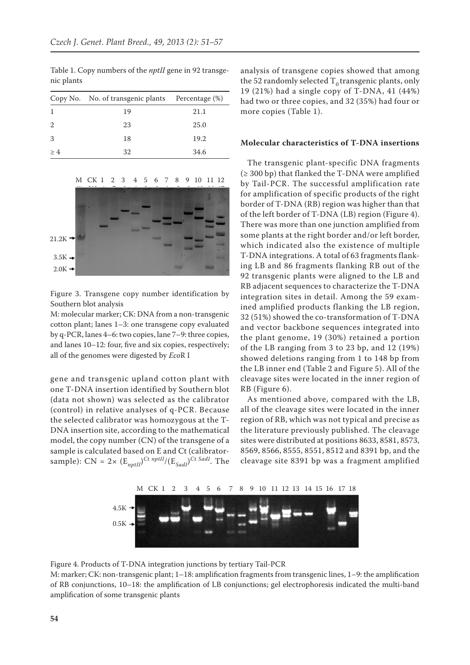|    | Copy No. No. of transgenic plants Percentage (%) |      |
|----|--------------------------------------------------|------|
|    | 19                                               | 21.1 |
|    | 23                                               | 25.0 |
| 3  | 18                                               | 19.2 |
| >4 | 32                                               | 34.6 |

Table 1. Copy numbers of the *nptII* gene in 92 transgenic plants



Figure 3. Transgene copy number identification by Southern blot analysis

M: molecular marker; CK: DNA from a non-transgenic cotton plant; lanes 1–3: one transgene copy evaluated by q-PCR, lanes 4–6: two copies, lane 7–9: three copies, and lanes 10–12: four, five and six copies, respectively; all of the genomes were digested by *Eco*R I

gene and transgenic upland cotton plant with one T-DNA insertion identified by Southern blot (data not shown) was selected as the calibrator (control) in relative analyses of q-PCR. Because the selected calibrator was homozygous at the T-DNA insertion site, according to the mathematical model, the copy number (CN) of the transgene of a sample is calculated based on E and Ct (calibratorsample):  $CN = 2 \times (E_{nptII})^{\text{Ct} \; nptII} / (E_{Sadh})^{\text{Ct} \; Sadh}.$  The

analysis of transgene copies showed that among the 52 randomly selected  $T_0$  transgenic plants, only 19 (21%) had a single copy of T-DNA, 41 (44%) had two or three copies, and 32 (35%) had four or more copies (Table 1).

## **Molecular characteristics of T-DNA insertions**

The transgenic plant-specific DNA fragments  $(≥ 300 bp)$  that flanked the T-DNA were amplified by Tail-PCR. The successful amplification rate for amplification of specific products of the right border of T-DNA (RB) region was higher than that of the left border of T-DNA (LB) region (Figure 4). There was more than one junction amplified from some plants at the right border and/or left border, which indicated also the existence of multiple T-DNA integrations. A total of 63 fragments flanking LB and 86 fragments flanking RB out of the 92 transgenic plants were aligned to the LB and RB adjacent sequences to characterize the T-DNA integration sites in detail. Among the 59 examined amplified products flanking the LB region, 32 (51%) showed the co-transformation of T-DNA and vector backbone sequences integrated into the plant genome, 19 (30%) retained a portion of the LB ranging from 3 to 23 bp, and 12 (19%) showed deletions ranging from 1 to 148 bp from the LB inner end (Table 2 and Figure 5). All of the cleavage sites were located in the inner region of RB (Figure 6).

As mentioned above, compared with the LB, all of the cleavage sites were located in the inner region of RB, which was not typical and precise as the literature previously published. The cleavage sites were distributed at positions 8633, 8581, 8573, 8569, 8566, 8555, 8551, 8512 and 8391 bp, and the cleavage site 8391 bp was a fragment amplified



Figure 4. Products of T-DNA integration junctions by tertiary Tail-PCR

M: marker; CK: non-transgenic plant; 1–18: amplification fragments from transgenic lines, 1–9: the amplification of RB conjunctions, 10–18: the amplification of LB conjunctions; gel electrophoresis indicated the multi-band amplification of some transgenic plants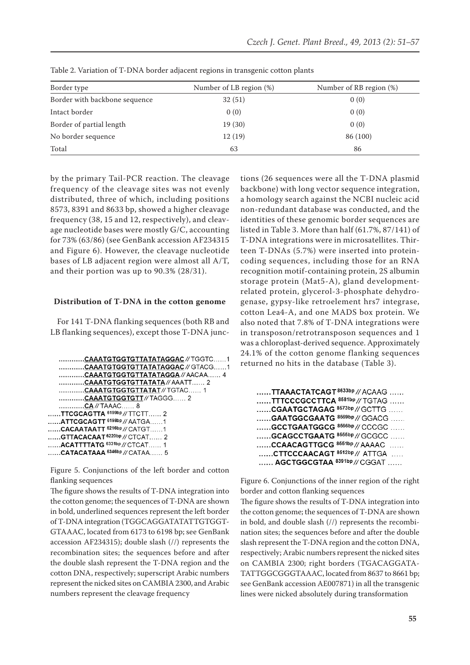| Border type                   | Number of LB region (%) | Number of RB region (%) |
|-------------------------------|-------------------------|-------------------------|
| Border with backbone sequence | 32(51)                  | 0(0)                    |
| Intact border                 | 0(0)                    | 0(0)                    |
| Border of partial length      | 19(30)                  | 0(0)                    |
| No border sequence            | 12(19)                  | 86 (100)                |
| Total                         | 63                      | 86                      |

Table 2. Variation of T-DNA border adjacent regions in transgenic cotton plants

by the primary Tail-PCR reaction. The cleavage frequency of the cleavage sites was not evenly distributed, three of which, including positions 8573, 8391 and 8633 bp, showed a higher cleavage frequency (38, 15 and 12, respectively), and cleavage nucleotide bases were mostly G/C, accounting for 73% (63/86) (see GenBank accession AF234315 and Figure 6). However, the cleavage nucleotide bases of LB adjacent region were almost all A/T, and their portion was up to 90.3% (28/31).

#### **Distribution of T-DNA in the cotton genome**

For 141 T-DNA flanking sequences (both RB and LB flanking sequences), except those T-DNA junc-

```
............CAAATGTGGTGTTATATAGGAC // TGGTC......1
   .............CAAATGTGGTGTTATATAGGAC // GTACG......1
   .............CAAATGTGGTGTTATATAGGA // AACAA...... 4
   ............CAAATGTGGTGTTATATA // AAATT....... 2
   ............CAAATGTGGTGTTATAT // TGTAC...... 1
   .............CAAATGTGGTGTT//TAGGG...... 2
    .............CA // TAAAC...... 8
......TTCGCAGTTA<sup>6199bp</sup>//TTCTT......2
......ATTCGCAGTT<sup>6198bp</sup>//AATGA......1
......CACAATAATT 6216bp // CATGT......1
......GTTACACAAT<sup>6220bp</sup> // CTCAT...... 2
...... ACATTTTATG 6331bp // CTCAT...... 1
...... CATACATAAA 6346bp // CATAA...... 5
```
Figure 5. Conjunctions of the left border and cotton flanking sequences

The figure shows the results of T-DNA integration into the cotton genome; the sequences of T-DNA are shown in bold, underlined sequences represent the left border of T-DNA integration (TGGCAGGATATATTGTGGT-GTAAAC, located from 6173 to 6198 bp; see GenBank accession AF234315); double slash (//) represents the recombination sites; the sequences before and after the double slash represent the T-DNA region and the cotton DNA, respectively; superscript Arabic numbers represent the nicked sites on CAMBIA 2300, and Arabic numbers represent the cleavage frequency

tions (26 sequences were all the T-DNA plasmid backbone) with long vector sequence integration, a homology search against the NCBI nucleic acid non-redundant database was conducted, and the identities of these genomic border sequences are listed in Table 3. More than half (61.7%, 87/141) of T-DNA integrations were in microsatellites. Thirteen T-DNAs (5.7%) were inserted into proteincoding sequences, including those for an RNA recognition motif-containing protein, 2S albumin storage protein (Mat5-A), gland developmentrelated protein, glycerol-3-phosphate dehydrogenase, gypsy-like retroelement hrs7 integrase, cotton Lea4-A, and one MADS box protein. We also noted that 7.8% of T-DNA integrations were in transposon/retrotransposon sequences and 1 was a chloroplast-derived sequence. Approximately 24.1% of the cotton genome flanking sequences returned no hits in the database (Table 3).

| TTAAACTATCAGT <sup>8633bp</sup> // ACAAG |
|------------------------------------------|
| TTTCCCGCCTTCA <sup>8581bp</sup> //TGTAG  |
| CGAATGCTAGAG 8573bp // GCTTG             |
| GAATGGCGAATG 8569bp // GGACG             |
| GCCTGAATGGCG 8566bp // CCCGC             |
| GCAGCCTGAATG <sup>8555bp</sup> //GCGCC   |
| CCAACAGTTGCG 8551bp // AAAAC             |
| CTTCCCAACAGT 8512bp // ATTGA             |
| AGCTGGCGTAA 8391bp // CGGAT              |

Figure 6. Conjunctions of the inner region of the right border and cotton flanking sequences

The figure shows the results of T-DNA integration into the cotton genome; the sequences of T-DNA are shown in bold, and double slash (//) represents the recombination sites; the sequences before and after the double slash represent the T-DNA region and the cotton DNA, respectively; Arabic numbers represent the nicked sites on CAMBIA 2300; right borders (TGACAGGATA-TATTGGCGGGTAAAC, located from 8637 to 8661 bp; see GenBank accession AE007871) in all the transgenic lines were nicked absolutely during transformation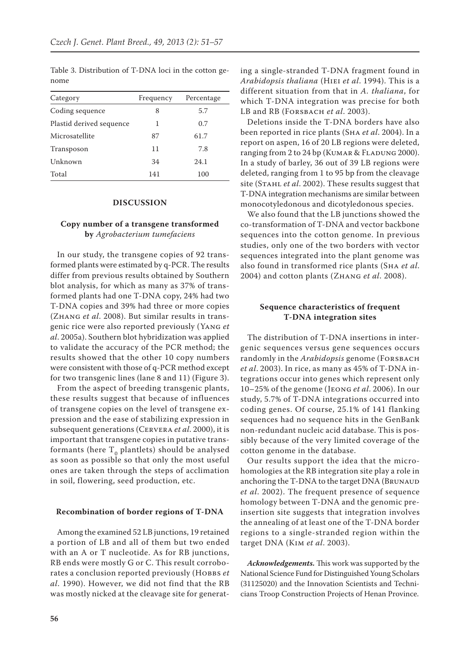| Category                 | Frequency | Percentage |
|--------------------------|-----------|------------|
| Coding sequence          | 8         | 5.7        |
| Plastid derived sequence | 1         | 0.7        |
| Microsatellite           | 87        | 61.7       |
| Transposon               | 11        | 7.8        |
| Unknown                  | 34        | 24.1       |
| Total                    | 141       | 100        |

Table 3. Distribution of T-DNA loci in the cotton genome

### **DISCUSSION**

## **Copy number of a transgene transformed by** *Agrobacterium tumefaciens*

In our study, the transgene copies of 92 transformed plants were estimated by q-PCR. The results differ from previous results obtained by Southern blot analysis, for which as many as 37% of transformed plants had one T-DNA copy, 24% had two T-DNA copies and 39% had three or more copies (Zhang *et al*. 2008). But similar results in transgenic rice were also reported previously (Yang *et al*. 2005a). Southern blot hybridization was applied to validate the accuracy of the PCR method; the results showed that the other 10 copy numbers were consistent with those of q-PCR method except for two transgenic lines (lane 8 and 11) (Figure 3).

From the aspect of breeding transgenic plants, these results suggest that because of influences of transgene copies on the level of transgene expression and the ease of stabilizing expression in subsequent generations (Cervera *et al*. 2000), it is important that transgene copies in putative transformants (here  $T_0$  plantlets) should be analysed as soon as possible so that only the most useful ones are taken through the steps of acclimation in soil, flowering, seed production, etc.

#### **Recombination of border regions of T-DNA**

Among the examined 52 LB junctions, 19 retained a portion of LB and all of them but two ended with an A or T nucleotide. As for RB junctions, RB ends were mostly G or C. This result corroborates a conclusion reported previously (HOBBS et *al*. 1990). However, we did not find that the RB was mostly nicked at the cleavage site for generating a single-stranded T-DNA fragment found in *Arabidopsis thaliana* (Hiei *et al*. 1994). This is a different situation from that in *A. thaliana*, for which T-DNA integration was precise for both LB and RB (Forsbach *et al*. 2003).

Deletions inside the T-DNA borders have also been reported in rice plants (Sha *et al*. 2004). In a report on aspen, 16 of 20 LB regions were deleted, ranging from 2 to 24 bp (KUMAR & FLADUNG 2000). In a study of barley, 36 out of 39 LB regions were deleted, ranging from 1 to 95 bp from the cleavage site (Stahl *et al*. 2002). These results suggest that T-DNA integration mechanisms are similar between monocotyledonous and dicotyledonous species.

We also found that the LB junctions showed the co-transformation of T-DNA and vector backbone sequences into the cotton genome. In previous studies, only one of the two borders with vector sequences integrated into the plant genome was also found in transformed rice plants (Sha *et al*. 2004) and cotton plants (Zhang *et al*. 2008).

# **Sequence characteristics of frequent T-DNA integration sites**

The distribution of T-DNA insertions in intergenic sequences versus gene sequences occurs randomly in the *Arabidopsis* genome (FORSBACH *et al*. 2003). In rice, as many as 45% of T-DNA integrations occur into genes which represent only 10–25% of the genome (Jeong *et al*. 2006). In our study, 5.7% of T-DNA integrations occurred into coding genes. Of course, 25.1% of 141 flanking sequences had no sequence hits in the GenBank non-redundant nucleic acid database. This is possibly because of the very limited coverage of the cotton genome in the database.

Our results support the idea that the microhomologies at the RB integration site play a role in anchoring the T-DNA to the target DNA (BRUNAUD *et al*. 2002). The frequent presence of sequence homology between T-DNA and the genomic preinsertion site suggests that integration involves the annealing of at least one of the T-DNA border regions to a single-stranded region within the target DNA (Kim *et al*. 2003).

*Acknowledgements.* This work was supported by the National Science Fund for Distinguished Young Scholars (31125020) and the Innovation Scientists and Technicians Troop Construction Projects of Henan Province.